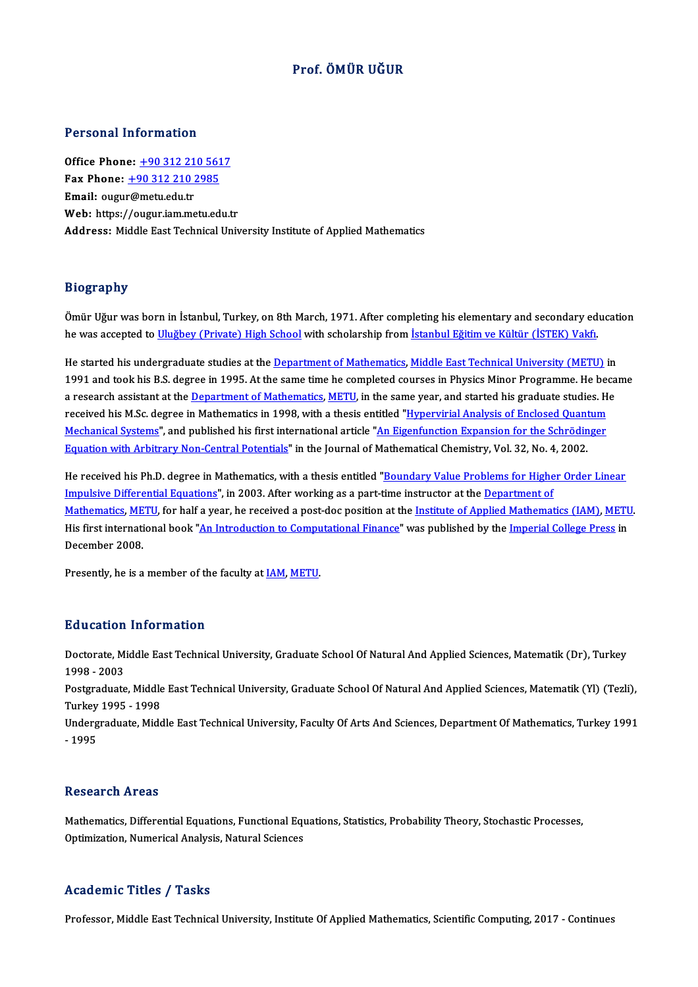### Prof. ÖMÜR UĞUR

### Personal Information

Office Phone: +90 312 210 5617 Fax Phone: <u>+90 312 210 561</u><br>Fax Phone: <u>+90 312 210 2985</u><br>Fmail: eugur@matuedu.tr Office Phone: <u>+90 312 21</u><br>Fax Phone: <u>+90 312 210 2</u><br>Email: ougu[r@metu.edu.tr](tel:+90 312 210 2985) Fax Phone: <u>+90 312 210 2985</u><br>Email: ougur@metu.edu.tr<br>Web: https://ougur.iam.metu.edu.tr<br>Address: Middle Fast Technical Unit Email: ougur@metu.edu.tr<br>Web: https://ougur.iam.metu.edu.tr<br>Address: Middle East Technical University Institute of Applied Mathematics

### Biography

Ömür Uğur was born in İstanbul, Turkey, on 8th March, 1971. After completing his elementary and secondary education Drogrupn.<br>Ömür Uğur was born in İstanbul, Turkey, on 8th March, 1971. After completing his elementary and secondary ed<br>he was accepted to <u>Uluğbey (Private) High School</u> with scholarship from <u>İstanbul Eğitim ve Kültür (İS</u>

He started his undergraduate studies at the Department of Mathematics, Middle East Technical University (METU) in<br>He started his undergraduate studies at the Department of Mathematics, Middle East Technical University (MET 1991 and took his B.S. degree in 1995. At the same time he completed courses in Physics Minor Programme. He became<br>1991 and took his B.S. degree in 1995. At the same time he completed courses in Physics Minor Programme. He He started his undergraduate studies at the <u>Department of Mathematics, Middle East Technical University (METU)</u> in<br>1991 and took his B.S. degree in 1995. At the same time he completed courses in Physics Minor Programme. H 1991 and took his B.S. degree in 1995. At the same time he completed courses in Physics Minor Programme. He bec<br>a research assistant at the <u>Department of Mathematics, METU</u>, in the same year, and started his graduate stud a research assistant at the <u>Department of Mathematics</u>, <u>METU</u>, in the same year, and started his graduate studies. He received his M.Sc. degree in Mathematics in 1998, with a thesis entitled "<u>Hypervirial Analysis of Enc</u> received his M.Sc. degree in Mathematics in 1998, with a thesis entitled "<u>Hypervirial Analysis of Enclosed Quant</u><br><u>Mechanical Systems</u>", and published his first international article "<u>An Eigenfunction Expansion for the S</u>

He received his Ph.D. degree in Mathematics, with a thesis entitled "Boundary Value Problems for Higher Order Linear<br>He received his Ph.D. degree in Mathematics, with a thesis entitled "<u>Boundary Value Problems for Higher </u> He received his Ph.D. degree in Mathematics, with a thesis entitled "<u>Boundary Value Problems for Higher Order Linear</u><br>Impulsive Differential Equations", in 2003. After working as a part-time instructor at the <u>Department </u> He received his Ph.D. degree in Mathematics, with a thesis entitled "<u>Boundary Value Problems for Higher Order Linear<br>Impulsive Differential Equations</u>", in 2003. After working as a part-time instructor at the <u>Department </u> Impulsive Differential Equations", in 2003. After working as a part-time instructor at the <u>Department of Mathematics (IAM), METU for</u> half a year, he received a post-doc position at the <u>Institute of Applied Mathematics (</u> <u>Mathematics, ME</u><br>His first internati<br>December 2008. His first international book "<u>An Introduction to Computational Finance</u>" was published by the <u>Imperial College Press</u> in December 2008.<br>December 2008.<br>Presently, he is a member of the faculty at <u>[IAM](http://iam.metu.edu.tr/), [METU](http://www.metu.edu.tr/)</u>.

### Education Information

**Education Information**<br>Doctorate, Middle East Technical University, Graduate School Of Natural And Applied Sciences, Matematik (Dr), Turkey<br>1998 - 2002 2<br>1998 - 2003<br>Postaneduate Doctorate, Middle East Technical University, Graduate School Of Natural And Applied Sciences, Matematik (Dr), Turkey<br>1998 - 2003<br>Postgraduate, Middle East Technical University, Graduate School Of Natural And Applied Scienc

1998 - 2003<br>Postgraduate, Middle<br>Turkey 1995 - 1998<br>Undergraduate Mide Postgraduate, Middle East Technical University, Graduate School Of Natural And Applied Sciences, Matematik (Yl) (Tezli),<br>Turkey 1995 - 1998<br>Undergraduate, Middle East Technical University, Faculty Of Arts And Sciences, Dep

Turkey 1995 - 1998<br>Undergraduate, Middle East Technical University, Faculty Of Arts And Sciences, Department Of Mathematics, Turkey 1991<br>- 1995

### **Research Areas**

Research Areas<br>Mathematics, Differential Equations, Functional Equations, Statistics, Probability Theory, Stochastic Processes,<br>Optimization, Numerical Analysis, Natural Sciences. 1000011 on 111 000<br>Mathematics, Differential Equations, Functional Equ<br>Optimization, Numerical Analysis, Natural Sciences Optimization, Numerical Analysis, Natural Sciences<br>Academic Titles / Tasks

Professor, Middle East Technical University, Institute Of Applied Mathematics, Scientific Computing, 2017 - Continues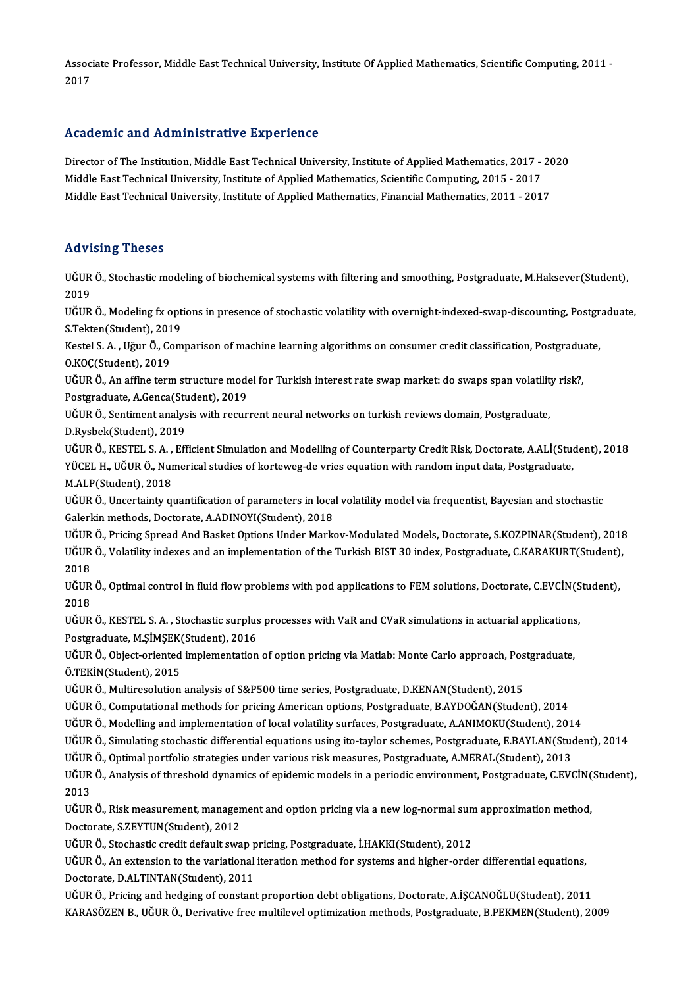Associate Professor, Middle East Technical University, Institute Of Applied Mathematics, Scientific Computing, 2011 -<br>2017 Assoc:<br>2017

# Academic and Administrative Experience

Academic and Administrative Experience<br>Director of The Institution, Middle East Technical University, Institute of Applied Mathematics, 2017 - 2020<br>Middle Fest Technical University, Institute of Applied Mathematics, Scient Middle East Technical University, Institute of Applied Mathematics, 2017<br>Middle East Technical University, Institute of Applied Mathematics, Scientific Computing, 2015 - 2017<br>Middle Fast Technical University, Institute of Director of The Institution, Middle East Technical University, Institute of Applied Mathematics, 2017 - 20<br>Middle East Technical University, Institute of Applied Mathematics, Scientific Computing, 2015 - 2017<br>Middle East T Middle East Technical University, Institute of Applied Mathematics, Financial Mathematics, 2011 - 2017<br>Advising Theses

Advising Theses<br>UĞUR Ö., Stochastic modeling of biochemical systems with filtering and smoothing, Postgraduate, M.Haksever(Student),<br>2019 ---<br>UĞUR<br>2019<br><sup>UĞUR</sup> UĞUR Ö., Stochastic modeling of biochemical systems with filtering and smoothing, Postgraduate, M.Haksever(Student),<br>2019<br>UĞUR Ö., Modeling fx options in presence of stochastic volatility with overnight-indexed-swap-discou

2019<br>UĞUR Ö., Modeling fx options in presence of stochastic volatility with overnight-indexed-swap-discounting, Postgraduate,<br>S.Tekten(Student), 2019 UĞUR Ö., Modeling fx options in presence of stochastic volatility with overnight-indexed-swap-discounting, Postgr<br>S.Tekten(Student), 2019<br>Kestel S. A. , Uğur Ö., Comparison of machine learning algorithms on consumer credit

S.Tekten(Student), 201<br>Kestel S. A. , Uğur Ö., Co<br>O.KOÇ(Student), 2019<br>UĞUP Ö. An affina tarı Kestel S. A. , Uğur Ö., Comparison of machine learning algorithms on consumer credit classification, Postgradu<br>O.KOÇ(Student), 2019<br>UĞUR Ö., An affine term structure model for Turkish interest rate swap market: do swaps sp

0.KOÇ(Student), 2019<br>UĞUR Ö., An affine term structure mode<br>Postgraduate, A.Genca(Student), 2019<br>UĞUP Ö. Sontiment analysis with regur UĞUR Ö., An affine term structure model for Turkish interest rate swap market: do swaps span volatilit<br>Postgraduate, A.Genca(Student), 2019<br>UĞUR Ö., Sentiment analysis with recurrent neural networks on turkish reviews doma

Postgraduate, A.Genca(Student), 2019<br>UĞUR Ö., Sentiment analysis with recurrent neural networks on turkish reviews domain, Postgraduate,<br>D.Rysbek(Student), 2019 UĞUR Ö., Sentiment analysis with recurrent neural networks on turkish reviews domain, Postgraduate,<br>D.Rysbek(Student), 2019<br>UĞUR Ö., KESTEL S. A. , Efficient Simulation and Modelling of Counterparty Credit Risk, Doctorate,

D.Rysbek(Student), 2019<br>UĞUR Ö., KESTEL S. A. , Efficient Simulation and Modelling of Counterparty Credit Risk, Doctorate, A.ALİ(Stud<br>YÜCEL H., UĞUR Ö., Numerical studies of korteweg-de vries equation with random input dat UĞUR Ö., KESTEL S. A. ,<br>YÜCEL H., UĞUR Ö., Nuı<br>M.ALP(Student), 2018 YÜCEL H., UĞUR Ö., Numerical studies of korteweg-de vries equation with random input data, Postgraduate,<br>M.ALP(Student), 2018<br>UĞUR Ö., Uncertainty quantification of parameters in local volatility model via frequentist, Bay

M.ALP(Student), 2018<br>UĞUR Ö., Uncertainty quantification of parameters in local volatility model via frequentist, Bayesian and stochastic<br>Galerkin methods, Doctorate, A.ADINOYI(Student), 2018<br>UĞUR Ö., Pricing Spread And Ba UĞUR Ö., Uncertainty quantification of parameters in local volatility model via frequentist, Bayesian and stochastic<br>Galerkin methods, Doctorate, A.ADINOYI(Student), 2018<br>UĞUR Ö., Pricing Spread And Basket Options Under Ma

Galerkin methods, Doctorate, A.ADINOYI(Student), 2018<br>UĞUR Ö., Pricing Spread And Basket Options Under Markov-Modulated Models, Doctorate, S.KOZPINAR(Student), 2018<br>UĞUR Ö., Volatility indexes and an implementation of the UĞUR<br>UĞUR<br>2018<br>UĞUR UĞUR Ö., Volatility indexes and an implementation of the Turkish BIST 30 index, Postgraduate, C.KARAKURT(Student)<br>2018<br>UĞUR Ö., Optimal control in fluid flow problems with pod applications to FEM solutions, Doctorate, C.EV

2018<br>UĞUR Ö., Optimal control in fluid flow problems with pod applications to FEM solutions, Doctorate, C.EVCİN(Student),<br>2018 UĞUR Ö., Optimal control in fluid flow problems with pod applications to FEM solutions, Doctorate, C.EVCİN(S<br>2018<br>UĞUR Ö., KESTEL S. A. , Stochastic surplus processes with VaR and CVaR simulations in actuarial applications

2018<br>UĞUR Ö., KESTEL S. A. , Stochastic surplus<br>Postgraduate, M.ŞİMŞEK(Student), 2016<br>UĞUP Ö. Object eriented implementation UĞUR Ö., KESTEL S. A. , Stochastic surplus processes with VaR and CVaR simulations in actuarial applications<br>Postgraduate, M.ŞİMŞEK(Student), 2016<br>UĞUR Ö., Object-oriented implementation of option pricing via Matlab: Monte

Postgraduate, M.ŞİMŞEK(Student), 2016<br>UĞUR Ö., Object-oriented implementation of option pricing via Matlab: Monte Carlo approach, Pos<br>Ö.TEKİN(Student), 2015<br>UĞUR Ö., Multiresolution analysis of S&P500 time series, Postgrad UĞUR Ö., Object-oriented implementation of option pricing via Matlab: Monte Carlo approach, Postgraduate,

UĞUR Ö., Computational methods for pricing American options, Postgraduate, B.AYDOĞAN(Student), 2014

UĞUR Ö., Multiresolution analysis of S&P500 time series, Postgraduate, D.KENAN(Student), 2015<br>UĞUR Ö., Computational methods for pricing American options, Postgraduate, B.AYDOĞAN(Student), 2014<br>UĞUR Ö., Modelling and imple UĞUR Ö., Modelling and implementation of local volatility surfaces, Postgraduate, A.ANIMOKU(Student), 201<br>UĞUR Ö., Simulating stochastic differential equations using ito-taylor schemes, Postgraduate, E.BAYLAN(Stud<br>UĞUR Ö.,

UĞUR Ö., Simulating stochastic differential equations using ito-taylor schemes, Postgraduate, E.BAYLAN(Student), 2014<br>UĞUR Ö., Optimal portfolio strategies under various risk measures, Postgraduate, A.MERAL(Student), 2013

UĞUR Ö., Simulating stochastic differential equations using ito-taylor schemes, Postgraduate, E.BAYLAN(Student), 2014<br>UĞUR Ö., Optimal portfolio strategies under various risk measures, Postgraduate, A.MERAL(Student), 2013<br> UĞUR<br>UĞUR<br>2013<br>UĞUR UĞUR Ö., Analysis of threshold dynamics of epidemic models in a periodic environment, Postgraduate, C.EVCİN(<br>2013<br>UĞUR Ö., Risk measurement, management and option pricing via a new log-normal sum approximation method,<br>Dest

2013<br>UĞUR Ö., Risk measurement, manageı<br>Doctorate, S.ZEYTUN(Student), 2012 UĞUR Ö., Risk measurement, management and option pricing via a new log-normal sum approximation method,

UĞUR Ö., Stochastic credit default swap pricing, Postgraduate, İ.HAKKI(Student), 2012

UĞUR Ö., An extension to the variational iteration method for systems and higher-order differential equations,<br>Doctorate, D.ALTINTAN(Student), 2011 UĞUR Ö., An extension to the variational iteration method for systems and higher-order differential equations,<br>Doctorate, D.ALTINTAN(Student), 2011<br>UĞUR Ö., Pricing and hedging of constant proportion debt obligations, Doct

Doctorate, D.ALTINTAN(Student), 2011<br>UĞUR Ö., Pricing and hedging of constant proportion debt obligations, Doctorate, A.İŞCANOĞLU(Student), 2011<br>KARASÖZEN B., UĞUR Ö., Derivative free multilevel optimization methods, Postg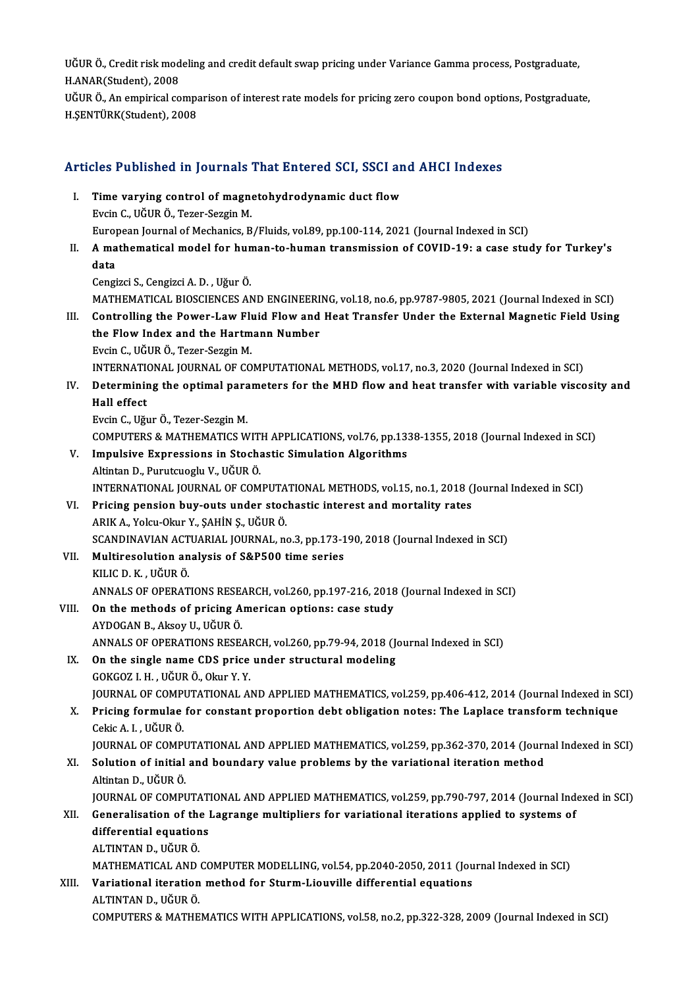UĞUR Ö., Credit risk modeling and credit default swap pricing under Variance Gamma process, Postgraduate,<br>HANAP(Student), 2009 UĞUR Ö., Credit risk mod<br>H.ANAR(Student), 2008<br>HĞUP Ö. An amnirisal aq UĞUR Ö., Credit risk modeling and credit default swap pricing under Variance Gamma process, Postgraduate,<br>H.ANAR(Student), 2008<br>UĞUR Ö., An empirical comparison of interest rate models for pricing zero coupon bond options,

H.ANAR(Student), 2008<br>UĞUR Ö., An empirical comparison of interest rate models for pricing zero coupon bond options, Postgraduate,<br>H.ŞENTÜRK(Student), 2008

# H.ŞENTUKK(Student), 2008<br>Articles Published in Journals That Entered SCI, SSCI and AHCI Indexes

- rticles Published in Journals That Entered SCI, SSCI an<br>I. Time varying control of magnetohydrodynamic duct flow I. Time varying control of magnetohydrodynamic duct flow<br>Evcin C., UĞUR Ö., Tezer-Sezgin M. European Journal of Mechanics, B/Fluids, vol.89, pp.100-114, 2021 (Journal Indexed in SCI) Evcin C., UĞUR Ö., Tezer-Sezgin M.<br>European Journal of Mechanics, B/Fluids, vol.89, pp.100-114, 2021 (Journal Indexed in SCI)<br>II. A mathematical model for human-to-human transmission of COVID-19: a case study for Turke Euro<sub>l</sub><br>A ma<br>data A mathematical model for hund<br>data<br>Cengizci S., Cengizci A. D. , Uğur Ö.<br>MATHEMATICAL PIOSCIENCES AN data<br>Cengizci S., Cengizci A. D. , Uğur Ö.<br>MATHEMATICAL BIOSCIENCES AND ENGINEERING, vol.18, no.6, pp.9787-9805, 2021 (Journal Indexed in SCI)<br>Centrelling the Bower Law Elvid Elew and Heet Transfor Under the External Megne Cengizci S., Cengizci A. D. , Uğur Ö.<br>MATHEMATICAL BIOSCIENCES AND ENGINEERING, vol.18, no.6, pp.9787-9805, 2021 (Journal Indexed in SCI)<br>III. Controlling the Power-Law Fluid Flow and Heat Transfer Under the External Magne MATHEMATICAL BIOSCIENCES AND ENGINEERI<br>Controlling the Power-Law Fluid Flow and<br>the Flow Index and the Hartmann Number<br>Evgin G HÖUP Ö, Tarar Sargin M
- Controlling the Power-Law Fluthe Flow Index and the Hartm<br>Evcin C., UĞUR Ö., Tezer-Sezgin M.<br>INTERNATIONAL IOURNAL OF CO the Flow Index and the Hartmann Number<br>Evcin C., UĞUR Ö., Tezer-Sezgin M.<br>INTERNATIONAL JOURNAL OF COMPUTATIONAL METHODS, vol.17, no.3, 2020 (Journal Indexed in SCI)<br>Determining the entimal perspectors for the MHD flow and Evcin C., UĞUR Ö., Tezer-Sezgin M.<br>INTERNATIONAL JOURNAL OF COMPUTATIONAL METHODS, vol.17, no.3, 2020 (Journal Indexed in SCI)<br>IV. Determining the optimal parameters for the MHD flow and heat transfer with variable vis
- INTERNATION<br>Determinin<br>Hall effect<br>Evgin C. Uğu Determining the optimal para<br>Hall effect<br>Evcin C., Uğur Ö., Tezer-Sezgin M.<br>COMPUTERS & MATHEMATICS W

Hall effect<br>Evcin C., Uğur Ö., Tezer-Sezgin M.<br>COMPUTERS & MATHEMATICS WITH APPLICATIONS, vol.76, pp.1338-1355, 2018 (Journal Indexed in SCI) Evcin C., Uğur Ö., Tezer-Sezgin M.<br>COMPUTERS & MATHEMATICS WITH APPLICATIONS, vol.76, pp.13:<br>V. Impulsive Expressions in Stochastic Simulation Algorithms

- COMPUTERS & MATHEMATICS WITH<br>**Impulsive Expressions in Stoch**<br>Altintan D., Purutcuoglu V., UĞUR Ö.<br>INTERNATIONAL JOURNAL OF COM Altintan D., Purutcuoglu V., UĞUR Ö.<br>INTERNATIONAL JOURNAL OF COMPUTATIONAL METHODS, vol.15, no.1, 2018 (Journal Indexed in SCI) Altintan D., Purutcuoglu V., UĞUR Ö.<br>INTERNATIONAL JOURNAL OF COMPUTATIONAL METHODS, vol.15, no.1, 2018 (<br>VI. Pricing pension buy-outs under stochastic interest and mortality rates<br>ABIV A. Volsy Olay V. SAHIN S. HĞUB Ö.
- INTERNATIONAL JOURNAL OF COMPUTA<br>Pricing pension buy-outs under stoc<br>ARIK A., Yolcu-Okur Y., ŞAHİN Ş., UĞUR Ö.<br>SCANDINAVIAN ACTUARIAL IQURNAL R Pricing pension buy-outs under stochastic interest and mortality rates<br>ARIK A., Yolcu-Okur Y., ŞAHİN Ş., UĞUR Ö.<br>SCANDINAVIAN ACTUARIAL JOURNAL, no.3, pp.173-190, 2018 (Journal Indexed in SCI)<br>Multipeselution analysis of S ARIK A., Yolcu-Okur Y., ŞAHİN Ş., UĞUR Ö.<br>SCANDINAVIAN ACTUARIAL JOURNAL, no.3, pp.173-1<br>VII. Multiresolution analysis of S&P500 time series<br>VII.C.D. Y. UĞUP Ö.
- 
- SCANDINAVIAN ACT<br>Multiresolution an<br>KILIC D. K. , UĞUR Ö.<br>ANNALS OF OPERAT Multiresolution analysis of S&P500 time series<br>KILIC D. K., UĞUR Ö.<br>ANNALS OF OPERATIONS RESEARCH, vol.260, pp.197-216, 2018 (Journal Indexed in SCI)<br>On the methods of prising American options: 2000 study. KILIC D. K., UĞUR Ö.<br>ANNALS OF OPERATIONS RESEARCH, vol.260, pp.197-216, 2018<br>VIII. On the methods of pricing American options: case study<br>AYDOGAN B., Aksoy U., UĞUR Ö.

## ANNALS OF OPERATIONS RESEL<br>**On the methods of pricing A**<br>AYDOGAN B., Aksoy U., UĞUR Ö.<br>ANNALS OF OPERATIONS PESE. On the methods of pricing American options: case study<br>AYDOGAN B., Aksoy U., UĞUR Ö.<br>ANNALS OF OPERATIONS RESEARCH, vol.260, pp.79-94, 2018 (Journal Indexed in SCI)<br>On the single name CDS price under structural modeling.

- IX. On the single name CDS price under structural modeling GOKGOZ I. H., UĞUR Ö., Okur Y. Y. ANNALS OF OPERATIONS RESEAF<br>On the single name CDS price<br>GOKGOZ I. H., UĞUR Ö., Okur Y. Y.<br>JOUPNAL OF COMBUTATIONAL A JOURNAL OF COMPUTATIONAL AND APPLIED MATHEMATICS, vol.259, pp.406-412, 2014 (Journal Indexed in SCI) GOKGOZ I. H. , UĞUR Ö., Okur Y. Y.<br>JOURNAL OF COMPUTATIONAL AND APPLIED MATHEMATICS, vol.259, pp.406-412, 2014 (Journal Indexed in St.<br>X. Pricing formulae for constant proportion debt obligation notes: The Laplace transfor
- JOURNAL OF COMP<br><mark>Pricing formulae</mark><br>Cekic A. I. , UĞUR Ö.<br>JOUPNAL OF COMP Pricing formulae for constant proportion debt obligation notes: The Laplace transform technique<br>Cekic A. I. , UĞUR Ö.<br>JOURNAL OF COMPUTATIONAL AND APPLIED MATHEMATICS, vol.259, pp.362-370, 2014 (Journal Indexed in SCI)<br>Sel
- Cekic A. I. , UĞUR Ö.<br>JOURNAL OF COMPUTATIONAL AND APPLIED MATHEMATICS, vol.259, pp.362-370, 2014 (Journ<br>XI. Solution of initial and boundary value problems by the variational iteration method<br>Altintan D. HÖUP Ö JOURNAL OF COMP<mark>l</mark><br>Solution of initial<br>Altintan D., UĞUR Ö.<br>JOUPNAL OF COMPL Altintan D., UĞUR Ö.<br>JOURNAL OF COMPUTATIONAL AND APPLIED MATHEMATICS, vol.259, pp.790-797, 2014 (Journal Indexed in SCI)

## Altintan D., UĞUR Ö.<br>JOURNAL OF COMPUTATIONAL AND APPLIED MATHEMATICS, vol.259, pp.790-797, 2014 (Journal Ind<br>XII. Generalisation of the Lagrange multipliers for variational iterations applied to systems of<br>differentia **JOURNAL OF COMPUTAT<br>Generalisation of the l<br>differential equations Generalisation of the<br>differential equation<br>ALTINTAN D., UĞUR Ö.<br>MATUEMATICAL AND.** differential equations<br>ALTINTAN D., UĞUR Ö.<br>MATHEMATICAL AND COMPUTER MODELLING, vol.54, pp.2040-2050, 2011 (Journal Indexed in SCI)<br>Veriational itaration method for Sturm Liouville differential equations

## ALTINTAN D., UĞUR Ö.<br>MATHEMATICAL AND COMPUTER MODELLING, vol.54, pp.2040-2050, 2011 (Jou<br>XIII. Variational iteration method for Sturm-Liouville differential equations<br>ALTINTAN D., UĞUR Ö. MATHEMATICAL AND<br>Variational iteration<br>ALTINTAN D., UĞUR Ö.<br>COMBUTERS & MATUE

COMPUTERS&MATHEMATICSWITHAPPLICATIONS,vol.58,no.2,pp.322-328,2009 (Journal Indexed inSCI)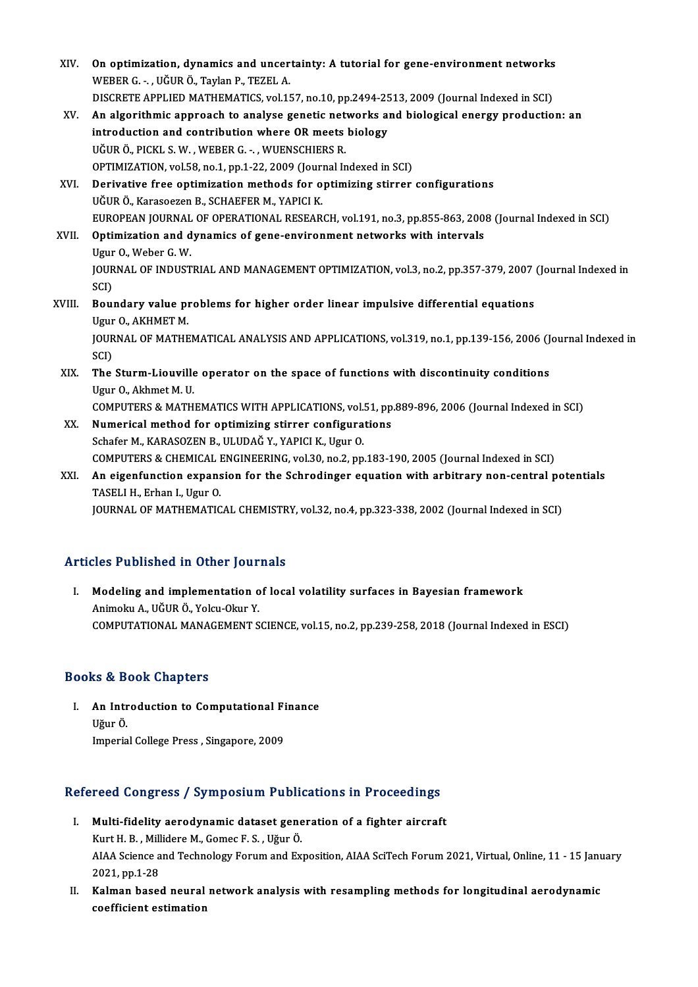| XIV.   | On optimization, dynamics and uncertainty: A tutorial for gene-environment networks                    |
|--------|--------------------------------------------------------------------------------------------------------|
|        | WEBER G. . , UĞUR Ö., Taylan P., TEZEL A.                                                              |
|        | DISCRETE APPLIED MATHEMATICS, vol.157, no.10, pp.2494-2513, 2009 (Journal Indexed in SCI)              |
| XV.    | An algorithmic approach to analyse genetic networks and biological energy production: an               |
|        | introduction and contribution where OR meets biology                                                   |
|        | UĞUR Ö., PICKL S. W., WEBER G. - , WUENSCHIERS R.                                                      |
|        | OPTIMIZATION, vol.58, no.1, pp.1-22, 2009 (Journal Indexed in SCI)                                     |
| XVI.   | Derivative free optimization methods for optimizing stirrer configurations                             |
|        | UĞUR Ö., Karasoezen B., SCHAEFER M., YAPICI K.                                                         |
|        | EUROPEAN JOURNAL OF OPERATIONAL RESEARCH, vol.191, no.3, pp.855-863, 2008 (Journal Indexed in SCI)     |
| XVII.  | Optimization and dynamics of gene-environment networks with intervals                                  |
|        | Ugur O, Weber G W                                                                                      |
|        | JOURNAL OF INDUSTRIAL AND MANAGEMENT OPTIMIZATION, vol.3, no.2, pp.357-379, 2007 (Journal Indexed in   |
|        | SCI)                                                                                                   |
| XVIII. | Boundary value problems for higher order linear impulsive differential equations                       |
|        | Ugur O., AKHMET M.                                                                                     |
|        | JOURNAL OF MATHEMATICAL ANALYSIS AND APPLICATIONS, vol.319, no.1, pp.139-156, 2006 (Journal Indexed in |
|        | SCI)                                                                                                   |
| XIX.   | The Sturm-Liouville operator on the space of functions with discontinuity conditions                   |
|        | Ugur O., Akhmet M. U.                                                                                  |
|        | COMPUTERS & MATHEMATICS WITH APPLICATIONS, vol.51, pp.889-896, 2006 (Journal Indexed in SCI)           |
| XX.    | Numerical method for optimizing stirrer configurations                                                 |
|        | Schafer M., KARASOZEN B., ULUDAĞ Y., YAPICI K., Ugur O.                                                |
|        | COMPUTERS & CHEMICAL ENGINEERING, vol.30, no.2, pp.183-190, 2005 (Journal Indexed in SCI)              |
| XXI.   | An eigenfunction expansion for the Schrodinger equation with arbitrary non-central potentials          |
|        | $T\Lambda$ CEILH Eshan I Haus O                                                                        |

TASELIH., Erhan I., Ugur O. JOURNAL OF MATHEMATICAL CHEMISTRY, vol.32, no.4, pp.323-338, 2002 (Journal Indexed in SCI)

### Articles Published in Other Journals

rticles Published in Other Journals<br>I. Modeling and implementation of local volatility surfaces in Bayesian framework<br>AnimalayA, UČUPÖ, Yoky Okyr V Modeling and implementation of<br>Modeling and implementation of<br>Animoku A., UĞUR Ö., Yolcu-Okur Y.<br>COMBUTATIONAL MANACEMENT S Animoku A., UĞUR Ö., Yolcu-Okur Y.<br>COMPUTATIONAL MANAGEMENT SCIENCE, vol.15, no.2, pp.239-258, 2018 (Journal Indexed in ESCI)

### Books&Book Chapters

ooks & Book Chapters<br>I. An Introduction to Computational Finance<br>Uğur Ö An Intr<br>An Intr<br>Uğur Ö. An Introduction to Computational Fi<br>Uğur Ö.<br>Imperial College Press , Singapore, 2009

# mperial conege Press , singapore, 2009<br>Refereed Congress / Symposium Publications in Proceedings

- efereed Congress / Symposium Publications in Proceedings<br>I. Multi-fidelity aerodynamic dataset generation of a fighter aircraft<br>Kurt H. B. Millidare M. Comes E. S. Hžur Ö. I. Multi-fidelity aerodynamic dataset generation of a fighter aircraft<br>Kurt H. B., Millidere M., Gomec F. S., Uğur Ö. Multi-fidelity aerodynamic dataset generation of a fighter aircraft<br>Kurt H. B. , Millidere M., Gomec F. S. , Uğur Ö.<br>AIAA Science and Technology Forum and Exposition, AIAA SciTech Forum 2021, Virtual, Online, 11 - 15 Janua Kurt H. B. , Mill<br>AIAA Science a<br>2021, pp.1-28<br>Kalman bases AIAA Science and Technology Forum and Exposition, AIAA SciTech Forum 2021, Virtual, Online, 11 - 15 Janu<br>2021, pp.1-28<br>II. Kalman based neural network analysis with resampling methods for longitudinal aerodynamic<br>200fficie
- 2021, pp.1-28<br>Kalman based neural<br>coefficient estimation